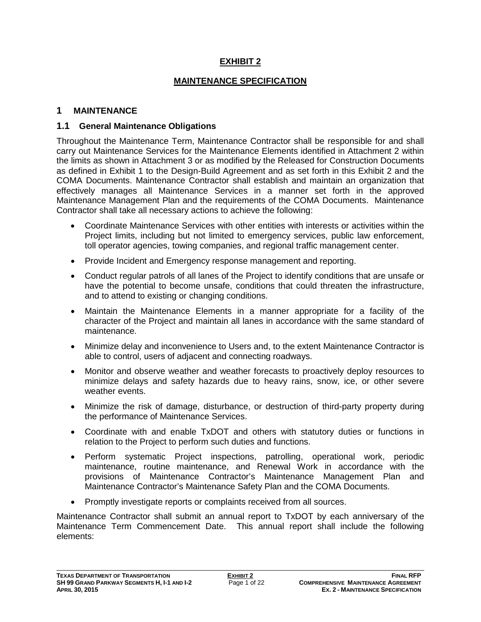## **EXHIBIT 2**

### **MAINTENANCE SPECIFICATION**

### **1 MAINTENANCE**

### **1.1 General Maintenance Obligations**

Throughout the Maintenance Term, Maintenance Contractor shall be responsible for and shall carry out Maintenance Services for the Maintenance Elements identified in Attachment 2 within the limits as shown in Attachment 3 or as modified by the Released for Construction Documents as defined in Exhibit 1 to the Design-Build Agreement and as set forth in this Exhibit 2 and the COMA Documents. Maintenance Contractor shall establish and maintain an organization that effectively manages all Maintenance Services in a manner set forth in the approved Maintenance Management Plan and the requirements of the COMA Documents. Maintenance Contractor shall take all necessary actions to achieve the following:

- Coordinate Maintenance Services with other entities with interests or activities within the Project limits, including but not limited to emergency services, public law enforcement, toll operator agencies, towing companies, and regional traffic management center.
- Provide Incident and Emergency response management and reporting.
- Conduct regular patrols of all lanes of the Project to identify conditions that are unsafe or have the potential to become unsafe, conditions that could threaten the infrastructure, and to attend to existing or changing conditions.
- Maintain the Maintenance Elements in a manner appropriate for a facility of the character of the Project and maintain all lanes in accordance with the same standard of maintenance.
- Minimize delay and inconvenience to Users and, to the extent Maintenance Contractor is able to control, users of adjacent and connecting roadways.
- Monitor and observe weather and weather forecasts to proactively deploy resources to minimize delays and safety hazards due to heavy rains, snow, ice, or other severe weather events.
- Minimize the risk of damage, disturbance, or destruction of third-party property during the performance of Maintenance Services.
- Coordinate with and enable TxDOT and others with statutory duties or functions in relation to the Project to perform such duties and functions.
- Perform systematic Project inspections, patrolling, operational work, periodic maintenance, routine maintenance, and Renewal Work in accordance with the provisions of Maintenance Contractor's Maintenance Management Plan and Maintenance Contractor's Maintenance Safety Plan and the COMA Documents.
- Promptly investigate reports or complaints received from all sources.

Maintenance Contractor shall submit an annual report to TxDOT by each anniversary of the Maintenance Term Commencement Date. This annual report shall include the following elements: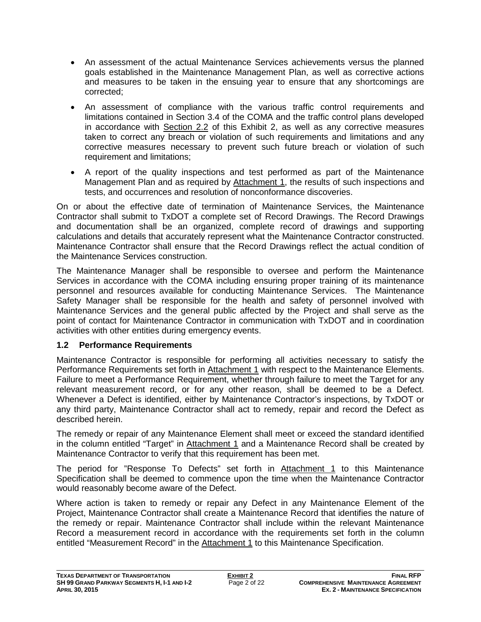- An assessment of the actual Maintenance Services achievements versus the planned goals established in the Maintenance Management Plan, as well as corrective actions and measures to be taken in the ensuing year to ensure that any shortcomings are corrected;
- An assessment of compliance with the various traffic control requirements and limitations contained in Section 3.4 of the COMA and the traffic control plans developed in accordance with Section 2.2 of this Exhibit 2, as well as any corrective measures taken to correct any breach or violation of such requirements and limitations and any corrective measures necessary to prevent such future breach or violation of such requirement and limitations;
- A report of the quality inspections and test performed as part of the Maintenance Management Plan and as required by Attachment 1, the results of such inspections and tests, and occurrences and resolution of nonconformance discoveries.

On or about the effective date of termination of Maintenance Services, the Maintenance Contractor shall submit to TxDOT a complete set of Record Drawings. The Record Drawings and documentation shall be an organized, complete record of drawings and supporting calculations and details that accurately represent what the Maintenance Contractor constructed. Maintenance Contractor shall ensure that the Record Drawings reflect the actual condition of the Maintenance Services construction.

The Maintenance Manager shall be responsible to oversee and perform the Maintenance Services in accordance with the COMA including ensuring proper training of its maintenance personnel and resources available for conducting Maintenance Services. The Maintenance Safety Manager shall be responsible for the health and safety of personnel involved with Maintenance Services and the general public affected by the Project and shall serve as the point of contact for Maintenance Contractor in communication with TxDOT and in coordination activities with other entities during emergency events.

# **1.2 Performance Requirements**

Maintenance Contractor is responsible for performing all activities necessary to satisfy the Performance Requirements set forth in Attachment 1 with respect to the Maintenance Elements. Failure to meet a Performance Requirement, whether through failure to meet the Target for any relevant measurement record, or for any other reason, shall be deemed to be a Defect. Whenever a Defect is identified, either by Maintenance Contractor's inspections, by TxDOT or any third party, Maintenance Contractor shall act to remedy, repair and record the Defect as described herein.

The remedy or repair of any Maintenance Element shall meet or exceed the standard identified in the column entitled "Target" in Attachment 1 and a Maintenance Record shall be created by Maintenance Contractor to verify that this requirement has been met.

The period for "Response To Defects" set forth in Attachment 1 to this Maintenance Specification shall be deemed to commence upon the time when the Maintenance Contractor would reasonably become aware of the Defect.

Where action is taken to remedy or repair any Defect in any Maintenance Element of the Project, Maintenance Contractor shall create a Maintenance Record that identifies the nature of the remedy or repair. Maintenance Contractor shall include within the relevant Maintenance Record a measurement record in accordance with the requirements set forth in the column entitled "Measurement Record" in the Attachment 1 to this Maintenance Specification.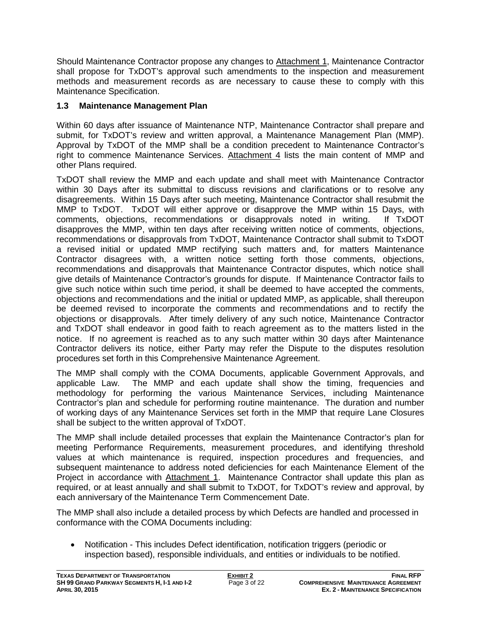Should Maintenance Contractor propose any changes to Attachment 1, Maintenance Contractor shall propose for TxDOT's approval such amendments to the inspection and measurement methods and measurement records as are necessary to cause these to comply with this Maintenance Specification.

# **1.3 Maintenance Management Plan**

Within 60 days after issuance of Maintenance NTP, Maintenance Contractor shall prepare and submit, for TxDOT's review and written approval, a Maintenance Management Plan (MMP). Approval by TxDOT of the MMP shall be a condition precedent to Maintenance Contractor's right to commence Maintenance Services. Attachment 4 lists the main content of MMP and other Plans required.

TxDOT shall review the MMP and each update and shall meet with Maintenance Contractor within 30 Days after its submittal to discuss revisions and clarifications or to resolve any disagreements. Within 15 Days after such meeting, Maintenance Contractor shall resubmit the MMP to TxDOT. TxDOT will either approve or disapprove the MMP within 15 Days, with comments, objections, recommendations or disapprovals noted in writing. If TxDOT disapproves the MMP, within ten days after receiving written notice of comments, objections, recommendations or disapprovals from TxDOT, Maintenance Contractor shall submit to TxDOT a revised initial or updated MMP rectifying such matters and, for matters Maintenance Contractor disagrees with, a written notice setting forth those comments, objections, recommendations and disapprovals that Maintenance Contractor disputes, which notice shall give details of Maintenance Contractor's grounds for dispute. If Maintenance Contractor fails to give such notice within such time period, it shall be deemed to have accepted the comments, objections and recommendations and the initial or updated MMP, as applicable, shall thereupon be deemed revised to incorporate the comments and recommendations and to rectify the objections or disapprovals. After timely delivery of any such notice, Maintenance Contractor and TxDOT shall endeavor in good faith to reach agreement as to the matters listed in the notice. If no agreement is reached as to any such matter within 30 days after Maintenance Contractor delivers its notice, either Party may refer the Dispute to the disputes resolution procedures set forth in this Comprehensive Maintenance Agreement.

The MMP shall comply with the COMA Documents, applicable Government Approvals, and applicable Law. The MMP and each update shall show the timing, frequencies and methodology for performing the various Maintenance Services, including Maintenance Contractor's plan and schedule for performing routine maintenance. The duration and number of working days of any Maintenance Services set forth in the MMP that require Lane Closures shall be subject to the written approval of TxDOT.

The MMP shall include detailed processes that explain the Maintenance Contractor's plan for meeting Performance Requirements, measurement procedures, and identifying threshold values at which maintenance is required, inspection procedures and frequencies, and subsequent maintenance to address noted deficiencies for each Maintenance Element of the Project in accordance with Attachment 1. Maintenance Contractor shall update this plan as required, or at least annually and shall submit to TxDOT, for TxDOT's review and approval, by each anniversary of the Maintenance Term Commencement Date.

The MMP shall also include a detailed process by which Defects are handled and processed in conformance with the COMA Documents including:

• Notification - This includes Defect identification, notification triggers (periodic or inspection based), responsible individuals, and entities or individuals to be notified.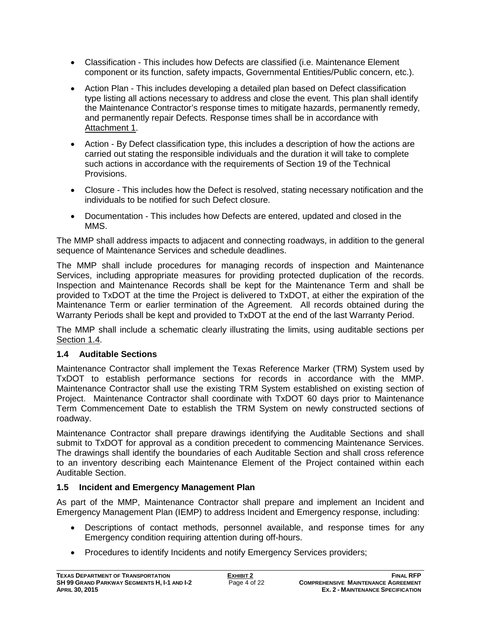- Classification This includes how Defects are classified (i.e. Maintenance Element component or its function, safety impacts, Governmental Entities/Public concern, etc.).
- Action Plan This includes developing a detailed plan based on Defect classification type listing all actions necessary to address and close the event. This plan shall identify the Maintenance Contractor's response times to mitigate hazards, permanently remedy, and permanently repair Defects. Response times shall be in accordance with Attachment 1.
- Action By Defect classification type, this includes a description of how the actions are carried out stating the responsible individuals and the duration it will take to complete such actions in accordance with the requirements of Section 19 of the Technical Provisions.
- Closure This includes how the Defect is resolved, stating necessary notification and the individuals to be notified for such Defect closure.
- Documentation This includes how Defects are entered, updated and closed in the MMS.

The MMP shall address impacts to adjacent and connecting roadways, in addition to the general sequence of Maintenance Services and schedule deadlines.

The MMP shall include procedures for managing records of inspection and Maintenance Services, including appropriate measures for providing protected duplication of the records. Inspection and Maintenance Records shall be kept for the Maintenance Term and shall be provided to TxDOT at the time the Project is delivered to TxDOT, at either the expiration of the Maintenance Term or earlier termination of the Agreement. All records obtained during the Warranty Periods shall be kept and provided to TxDOT at the end of the last Warranty Period.

The MMP shall include a schematic clearly illustrating the limits, using auditable sections per Section 1.4.

# **1.4 Auditable Sections**

Maintenance Contractor shall implement the Texas Reference Marker (TRM) System used by TxDOT to establish performance sections for records in accordance with the MMP. Maintenance Contractor shall use the existing TRM System established on existing section of Project. Maintenance Contractor shall coordinate with TxDOT 60 days prior to Maintenance Term Commencement Date to establish the TRM System on newly constructed sections of roadway.

Maintenance Contractor shall prepare drawings identifying the Auditable Sections and shall submit to TxDOT for approval as a condition precedent to commencing Maintenance Services. The drawings shall identify the boundaries of each Auditable Section and shall cross reference to an inventory describing each Maintenance Element of the Project contained within each Auditable Section.

# **1.5 Incident and Emergency Management Plan**

As part of the MMP, Maintenance Contractor shall prepare and implement an Incident and Emergency Management Plan (IEMP) to address Incident and Emergency response, including:

- Descriptions of contact methods, personnel available, and response times for any Emergency condition requiring attention during off-hours.
- Procedures to identify Incidents and notify Emergency Services providers;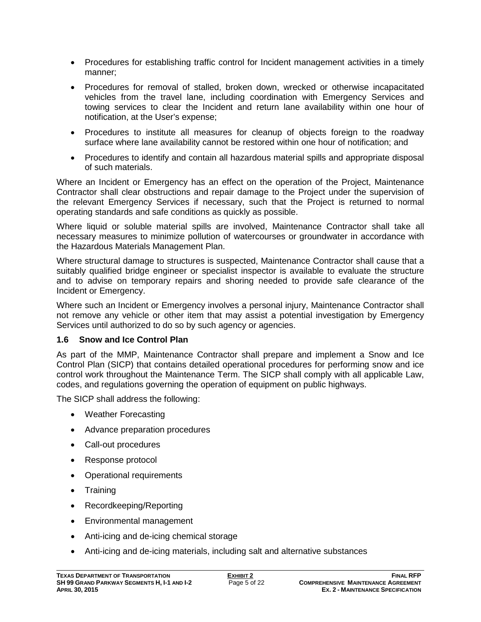- Procedures for establishing traffic control for Incident management activities in a timely manner;
- Procedures for removal of stalled, broken down, wrecked or otherwise incapacitated vehicles from the travel lane, including coordination with Emergency Services and towing services to clear the Incident and return lane availability within one hour of notification, at the User's expense;
- Procedures to institute all measures for cleanup of objects foreign to the roadway surface where lane availability cannot be restored within one hour of notification; and
- Procedures to identify and contain all hazardous material spills and appropriate disposal of such materials.

Where an Incident or Emergency has an effect on the operation of the Project, Maintenance Contractor shall clear obstructions and repair damage to the Project under the supervision of the relevant Emergency Services if necessary, such that the Project is returned to normal operating standards and safe conditions as quickly as possible.

Where liquid or soluble material spills are involved, Maintenance Contractor shall take all necessary measures to minimize pollution of watercourses or groundwater in accordance with the Hazardous Materials Management Plan.

Where structural damage to structures is suspected, Maintenance Contractor shall cause that a suitably qualified bridge engineer or specialist inspector is available to evaluate the structure and to advise on temporary repairs and shoring needed to provide safe clearance of the Incident or Emergency.

Where such an Incident or Emergency involves a personal injury, Maintenance Contractor shall not remove any vehicle or other item that may assist a potential investigation by Emergency Services until authorized to do so by such agency or agencies.

### **1.6 Snow and Ice Control Plan**

As part of the MMP, Maintenance Contractor shall prepare and implement a Snow and Ice Control Plan (SICP) that contains detailed operational procedures for performing snow and ice control work throughout the Maintenance Term. The SICP shall comply with all applicable Law, codes, and regulations governing the operation of equipment on public highways.

The SICP shall address the following:

- Weather Forecasting
- Advance preparation procedures
- Call-out procedures
- Response protocol
- Operational requirements
- Training
- Recordkeeping/Reporting
- Environmental management
- Anti-icing and de-icing chemical storage
- Anti-icing and de-icing materials, including salt and alternative substances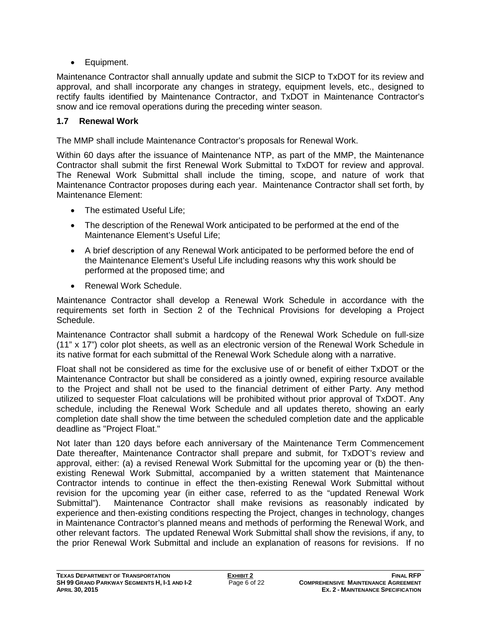• Equipment.

Maintenance Contractor shall annually update and submit the SICP to TxDOT for its review and approval, and shall incorporate any changes in strategy, equipment levels, etc., designed to rectify faults identified by Maintenance Contractor, and TxDOT in Maintenance Contractor's snow and ice removal operations during the preceding winter season.

# **1.7 Renewal Work**

The MMP shall include Maintenance Contractor's proposals for Renewal Work.

Within 60 days after the issuance of Maintenance NTP, as part of the MMP, the Maintenance Contractor shall submit the first Renewal Work Submittal to TxDOT for review and approval. The Renewal Work Submittal shall include the timing, scope, and nature of work that Maintenance Contractor proposes during each year. Maintenance Contractor shall set forth, by Maintenance Element:

- The estimated Useful Life:
- The description of the Renewal Work anticipated to be performed at the end of the Maintenance Element's Useful Life;
- A brief description of any Renewal Work anticipated to be performed before the end of the Maintenance Element's Useful Life including reasons why this work should be performed at the proposed time; and
- Renewal Work Schedule.

Maintenance Contractor shall develop a Renewal Work Schedule in accordance with the requirements set forth in Section 2 of the Technical Provisions for developing a Project Schedule.

Maintenance Contractor shall submit a hardcopy of the Renewal Work Schedule on full-size (11" x 17") color plot sheets, as well as an electronic version of the Renewal Work Schedule in its native format for each submittal of the Renewal Work Schedule along with a narrative.

Float shall not be considered as time for the exclusive use of or benefit of either TxDOT or the Maintenance Contractor but shall be considered as a jointly owned, expiring resource available to the Project and shall not be used to the financial detriment of either Party. Any method utilized to sequester Float calculations will be prohibited without prior approval of TxDOT. Any schedule, including the Renewal Work Schedule and all updates thereto, showing an early completion date shall show the time between the scheduled completion date and the applicable deadline as "Project Float."

Not later than 120 days before each anniversary of the Maintenance Term Commencement Date thereafter, Maintenance Contractor shall prepare and submit, for TxDOT's review and approval, either: (a) a revised Renewal Work Submittal for the upcoming year or (b) the thenexisting Renewal Work Submittal, accompanied by a written statement that Maintenance Contractor intends to continue in effect the then-existing Renewal Work Submittal without revision for the upcoming year (in either case, referred to as the "updated Renewal Work Submittal"). Maintenance Contractor shall make revisions as reasonably indicated by experience and then-existing conditions respecting the Project, changes in technology, changes in Maintenance Contractor's planned means and methods of performing the Renewal Work, and other relevant factors. The updated Renewal Work Submittal shall show the revisions, if any, to the prior Renewal Work Submittal and include an explanation of reasons for revisions. If no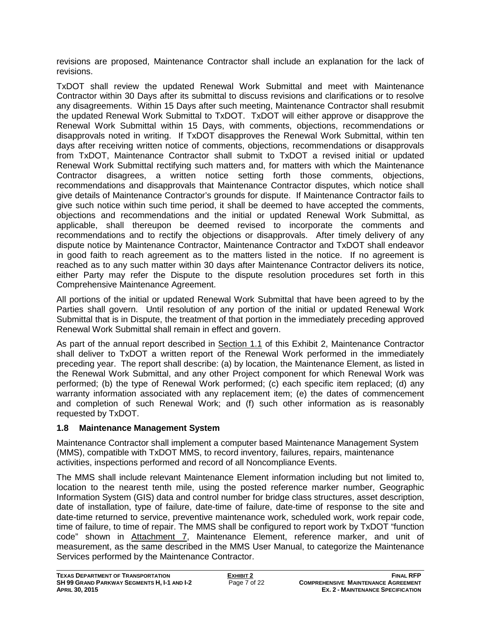revisions are proposed, Maintenance Contractor shall include an explanation for the lack of revisions.

TxDOT shall review the updated Renewal Work Submittal and meet with Maintenance Contractor within 30 Days after its submittal to discuss revisions and clarifications or to resolve any disagreements. Within 15 Days after such meeting, Maintenance Contractor shall resubmit the updated Renewal Work Submittal to TxDOT. TxDOT will either approve or disapprove the Renewal Work Submittal within 15 Days, with comments, objections, recommendations or disapprovals noted in writing. If TxDOT disapproves the Renewal Work Submittal, within ten days after receiving written notice of comments, objections, recommendations or disapprovals from TxDOT, Maintenance Contractor shall submit to TxDOT a revised initial or updated Renewal Work Submittal rectifying such matters and, for matters with which the Maintenance Contractor disagrees, a written notice setting forth those comments, objections, recommendations and disapprovals that Maintenance Contractor disputes, which notice shall give details of Maintenance Contractor's grounds for dispute. If Maintenance Contractor fails to give such notice within such time period, it shall be deemed to have accepted the comments, objections and recommendations and the initial or updated Renewal Work Submittal, as applicable, shall thereupon be deemed revised to incorporate the comments and recommendations and to rectify the objections or disapprovals. After timely delivery of any dispute notice by Maintenance Contractor, Maintenance Contractor and TxDOT shall endeavor in good faith to reach agreement as to the matters listed in the notice. If no agreement is reached as to any such matter within 30 days after Maintenance Contractor delivers its notice, either Party may refer the Dispute to the dispute resolution procedures set forth in this Comprehensive Maintenance Agreement.

All portions of the initial or updated Renewal Work Submittal that have been agreed to by the Parties shall govern. Until resolution of any portion of the initial or updated Renewal Work Submittal that is in Dispute, the treatment of that portion in the immediately preceding approved Renewal Work Submittal shall remain in effect and govern.

As part of the annual report described in Section 1.1 of this Exhibit 2, Maintenance Contractor shall deliver to TxDOT a written report of the Renewal Work performed in the immediately preceding year. The report shall describe: (a) by location, the Maintenance Element, as listed in the Renewal Work Submittal, and any other Project component for which Renewal Work was performed; (b) the type of Renewal Work performed; (c) each specific item replaced; (d) any warranty information associated with any replacement item; (e) the dates of commencement and completion of such Renewal Work; and (f) such other information as is reasonably requested by TxDOT.

# **1.8 Maintenance Management System**

Maintenance Contractor shall implement a computer based Maintenance Management System (MMS), compatible with TxDOT MMS, to record inventory, failures, repairs, maintenance activities, inspections performed and record of all Noncompliance Events.

The MMS shall include relevant Maintenance Element information including but not limited to, location to the nearest tenth mile, using the posted reference marker number, Geographic Information System (GIS) data and control number for bridge class structures, asset description, date of installation, type of failure, date-time of failure, date-time of response to the site and date-time returned to service, preventive maintenance work, scheduled work, work repair code, time of failure, to time of repair. The MMS shall be configured to report work by TxDOT "function code" shown in Attachment 7, Maintenance Element, reference marker, and unit of measurement, as the same described in the MMS User Manual, to categorize the Maintenance Services performed by the Maintenance Contractor.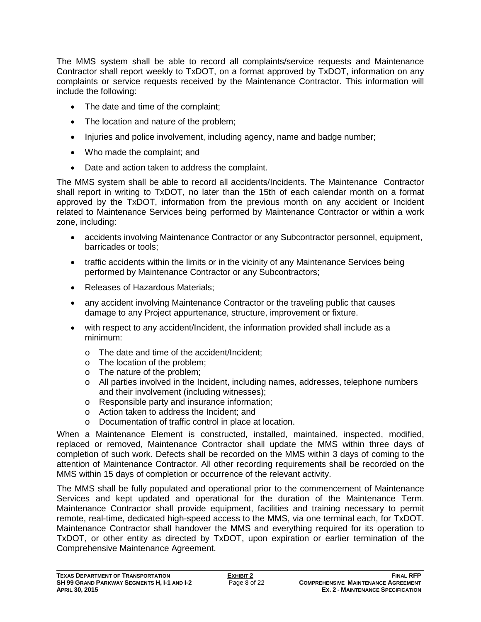The MMS system shall be able to record all complaints/service requests and Maintenance Contractor shall report weekly to TxDOT, on a format approved by TxDOT, information on any complaints or service requests received by the Maintenance Contractor. This information will include the following:

- The date and time of the complaint;
- The location and nature of the problem:
- Injuries and police involvement, including agency, name and badge number;
- Who made the complaint; and
- Date and action taken to address the complaint.

The MMS system shall be able to record all accidents/Incidents. The Maintenance Contractor shall report in writing to TxDOT, no later than the 15th of each calendar month on a format approved by the TxDOT, information from the previous month on any accident or Incident related to Maintenance Services being performed by Maintenance Contractor or within a work zone, including:

- accidents involving Maintenance Contractor or any Subcontractor personnel, equipment, barricades or tools;
- traffic accidents within the limits or in the vicinity of any Maintenance Services being performed by Maintenance Contractor or any Subcontractors;
- Releases of Hazardous Materials;
- any accident involving Maintenance Contractor or the traveling public that causes damage to any Project appurtenance, structure, improvement or fixture.
- with respect to any accident/Incident, the information provided shall include as a minimum:
	- o The date and time of the accident/Incident;
	- o The location of the problem;
	- o The nature of the problem;
	- o All parties involved in the Incident, including names, addresses, telephone numbers and their involvement (including witnesses);
	- o Responsible party and insurance information;
	- o Action taken to address the Incident; and
	- o Documentation of traffic control in place at location.

When a Maintenance Element is constructed, installed, maintained, inspected, modified, replaced or removed, Maintenance Contractor shall update the MMS within three days of completion of such work. Defects shall be recorded on the MMS within 3 days of coming to the attention of Maintenance Contractor. All other recording requirements shall be recorded on the MMS within 15 days of completion or occurrence of the relevant activity.

The MMS shall be fully populated and operational prior to the commencement of Maintenance Services and kept updated and operational for the duration of the Maintenance Term. Maintenance Contractor shall provide equipment, facilities and training necessary to permit remote, real-time, dedicated high-speed access to the MMS, via one terminal each, for TxDOT. Maintenance Contractor shall handover the MMS and everything required for its operation to TxDOT, or other entity as directed by TxDOT, upon expiration or earlier termination of the Comprehensive Maintenance Agreement.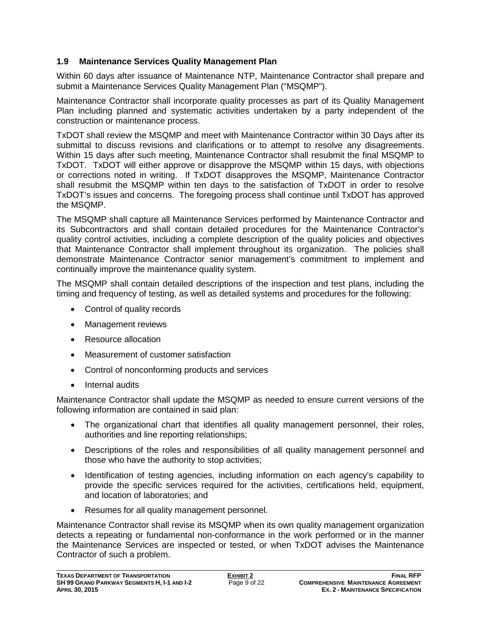## **1.9 Maintenance Services Quality Management Plan**

Within 60 days after issuance of Maintenance NTP, Maintenance Contractor shall prepare and submit a Maintenance Services Quality Management Plan ("MSQMP").

Maintenance Contractor shall incorporate quality processes as part of its Quality Management Plan including planned and systematic activities undertaken by a party independent of the construction or maintenance process.

TxDOT shall review the MSQMP and meet with Maintenance Contractor within 30 Days after its submittal to discuss revisions and clarifications or to attempt to resolve any disagreements. Within 15 days after such meeting, Maintenance Contractor shall resubmit the final MSQMP to TxDOT. TxDOT will either approve or disapprove the MSQMP within 15 days, with objections or corrections noted in writing. If TxDOT disapproves the MSQMP, Maintenance Contractor shall resubmit the MSQMP within ten days to the satisfaction of TxDOT in order to resolve TxDOT's issues and concerns. The foregoing process shall continue until TxDOT has approved the MSQMP.

The MSQMP shall capture all Maintenance Services performed by Maintenance Contractor and its Subcontractors and shall contain detailed procedures for the Maintenance Contractor's quality control activities, including a complete description of the quality policies and objectives that Maintenance Contractor shall implement throughout its organization. The policies shall demonstrate Maintenance Contractor senior management's commitment to implement and continually improve the maintenance quality system.

The MSQMP shall contain detailed descriptions of the inspection and test plans, including the timing and frequency of testing, as well as detailed systems and procedures for the following:

- Control of quality records
- Management reviews
- Resource allocation
- Measurement of customer satisfaction
- Control of nonconforming products and services
- Internal audits

Maintenance Contractor shall update the MSQMP as needed to ensure current versions of the following information are contained in said plan:

- The organizational chart that identifies all quality management personnel, their roles, authorities and line reporting relationships;
- Descriptions of the roles and responsibilities of all quality management personnel and those who have the authority to stop activities;
- Identification of testing agencies, including information on each agency's capability to provide the specific services required for the activities, certifications held, equipment, and location of laboratories; and
- Resumes for all quality management personnel.

Maintenance Contractor shall revise its MSQMP when its own quality management organization detects a repeating or fundamental non-conformance in the work performed or in the manner the Maintenance Services are inspected or tested, or when TxDOT advises the Maintenance Contractor of such a problem.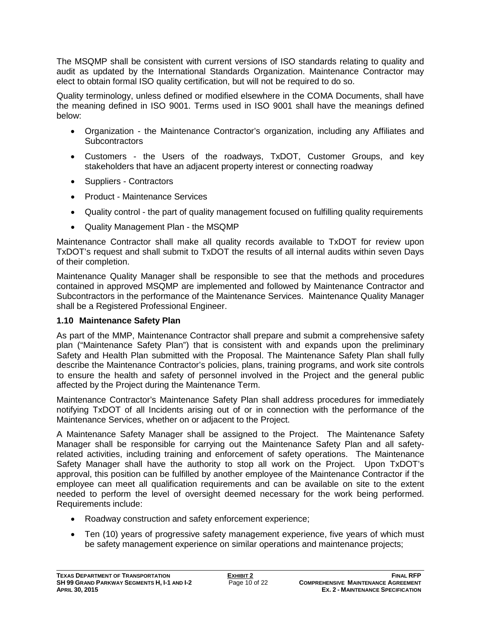The MSQMP shall be consistent with current versions of ISO standards relating to quality and audit as updated by the International Standards Organization. Maintenance Contractor may elect to obtain formal ISO quality certification, but will not be required to do so.

Quality terminology, unless defined or modified elsewhere in the COMA Documents, shall have the meaning defined in ISO 9001. Terms used in ISO 9001 shall have the meanings defined below:

- Organization the Maintenance Contractor's organization, including any Affiliates and **Subcontractors**
- Customers the Users of the roadways, TxDOT, Customer Groups, and key stakeholders that have an adjacent property interest or connecting roadway
- Suppliers Contractors
- Product Maintenance Services
- Quality control the part of quality management focused on fulfilling quality requirements
- Quality Management Plan the MSQMP

Maintenance Contractor shall make all quality records available to TxDOT for review upon TxDOT's request and shall submit to TxDOT the results of all internal audits within seven Days of their completion.

Maintenance Quality Manager shall be responsible to see that the methods and procedures contained in approved MSQMP are implemented and followed by Maintenance Contractor and Subcontractors in the performance of the Maintenance Services. Maintenance Quality Manager shall be a Registered Professional Engineer.

# **1.10 Maintenance Safety Plan**

As part of the MMP, Maintenance Contractor shall prepare and submit a comprehensive safety plan ("Maintenance Safety Plan") that is consistent with and expands upon the preliminary Safety and Health Plan submitted with the Proposal. The Maintenance Safety Plan shall fully describe the Maintenance Contractor's policies, plans, training programs, and work site controls to ensure the health and safety of personnel involved in the Project and the general public affected by the Project during the Maintenance Term.

Maintenance Contractor's Maintenance Safety Plan shall address procedures for immediately notifying TxDOT of all Incidents arising out of or in connection with the performance of the Maintenance Services, whether on or adjacent to the Project.

A Maintenance Safety Manager shall be assigned to the Project. The Maintenance Safety Manager shall be responsible for carrying out the Maintenance Safety Plan and all safetyrelated activities, including training and enforcement of safety operations. The Maintenance Safety Manager shall have the authority to stop all work on the Project. Upon TxDOT's approval, this position can be fulfilled by another employee of the Maintenance Contractor if the employee can meet all qualification requirements and can be available on site to the extent needed to perform the level of oversight deemed necessary for the work being performed. Requirements include:

- Roadway construction and safety enforcement experience;
- Ten (10) years of progressive safety management experience, five years of which must be safety management experience on similar operations and maintenance projects;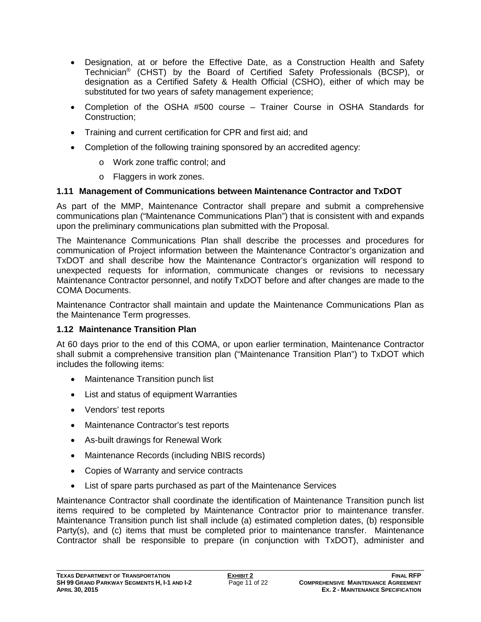- Designation, at or before the Effective Date, as a Construction Health and Safety Technician® (CHST) by the Board of Certified Safety Professionals (BCSP), or designation as a Certified Safety & Health Official (CSHO), either of which may be substituted for two years of safety management experience;
- Completion of the OSHA #500 course Trainer Course in OSHA Standards for Construction;
- Training and current certification for CPR and first aid; and
- Completion of the following training sponsored by an accredited agency:
	- o Work zone traffic control; and
	- o Flaggers in work zones.

## **1.11 Management of Communications between Maintenance Contractor and TxDOT**

As part of the MMP, Maintenance Contractor shall prepare and submit a comprehensive communications plan ("Maintenance Communications Plan") that is consistent with and expands upon the preliminary communications plan submitted with the Proposal.

The Maintenance Communications Plan shall describe the processes and procedures for communication of Project information between the Maintenance Contractor's organization and TxDOT and shall describe how the Maintenance Contractor's organization will respond to unexpected requests for information, communicate changes or revisions to necessary Maintenance Contractor personnel, and notify TxDOT before and after changes are made to the COMA Documents.

Maintenance Contractor shall maintain and update the Maintenance Communications Plan as the Maintenance Term progresses.

### **1.12 Maintenance Transition Plan**

At 60 days prior to the end of this COMA, or upon earlier termination, Maintenance Contractor shall submit a comprehensive transition plan ("Maintenance Transition Plan") to TxDOT which includes the following items:

- Maintenance Transition punch list
- List and status of equipment Warranties
- Vendors' test reports
- Maintenance Contractor's test reports
- As-built drawings for Renewal Work
- Maintenance Records (including NBIS records)
- Copies of Warranty and service contracts
- List of spare parts purchased as part of the Maintenance Services

Maintenance Contractor shall coordinate the identification of Maintenance Transition punch list items required to be completed by Maintenance Contractor prior to maintenance transfer. Maintenance Transition punch list shall include (a) estimated completion dates, (b) responsible Party(s), and (c) items that must be completed prior to maintenance transfer. Maintenance Contractor shall be responsible to prepare (in conjunction with TxDOT), administer and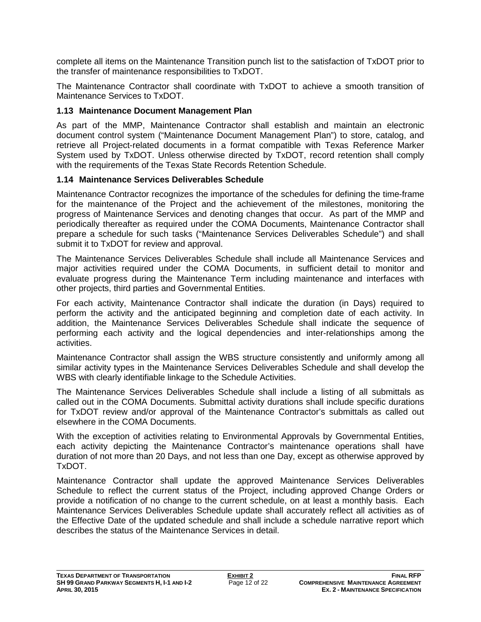complete all items on the Maintenance Transition punch list to the satisfaction of TxDOT prior to the transfer of maintenance responsibilities to TxDOT.

The Maintenance Contractor shall coordinate with TxDOT to achieve a smooth transition of Maintenance Services to TxDOT.

### **1.13 Maintenance Document Management Plan**

As part of the MMP, Maintenance Contractor shall establish and maintain an electronic document control system ("Maintenance Document Management Plan") to store, catalog, and retrieve all Project-related documents in a format compatible with Texas Reference Marker System used by TxDOT. Unless otherwise directed by TxDOT, record retention shall comply with the requirements of the Texas State Records Retention Schedule.

## **1.14 Maintenance Services Deliverables Schedule**

Maintenance Contractor recognizes the importance of the schedules for defining the time-frame for the maintenance of the Project and the achievement of the milestones, monitoring the progress of Maintenance Services and denoting changes that occur. As part of the MMP and periodically thereafter as required under the COMA Documents, Maintenance Contractor shall prepare a schedule for such tasks ("Maintenance Services Deliverables Schedule") and shall submit it to TxDOT for review and approval.

The Maintenance Services Deliverables Schedule shall include all Maintenance Services and major activities required under the COMA Documents, in sufficient detail to monitor and evaluate progress during the Maintenance Term including maintenance and interfaces with other projects, third parties and Governmental Entities.

For each activity, Maintenance Contractor shall indicate the duration (in Days) required to perform the activity and the anticipated beginning and completion date of each activity. In addition, the Maintenance Services Deliverables Schedule shall indicate the sequence of performing each activity and the logical dependencies and inter-relationships among the activities.

Maintenance Contractor shall assign the WBS structure consistently and uniformly among all similar activity types in the Maintenance Services Deliverables Schedule and shall develop the WBS with clearly identifiable linkage to the Schedule Activities.

The Maintenance Services Deliverables Schedule shall include a listing of all submittals as called out in the COMA Documents. Submittal activity durations shall include specific durations for TxDOT review and/or approval of the Maintenance Contractor's submittals as called out elsewhere in the COMA Documents.

With the exception of activities relating to Environmental Approvals by Governmental Entities, each activity depicting the Maintenance Contractor's maintenance operations shall have duration of not more than 20 Days, and not less than one Day, except as otherwise approved by TxDOT.

Maintenance Contractor shall update the approved Maintenance Services Deliverables Schedule to reflect the current status of the Project, including approved Change Orders or provide a notification of no change to the current schedule, on at least a monthly basis. Each Maintenance Services Deliverables Schedule update shall accurately reflect all activities as of the Effective Date of the updated schedule and shall include a schedule narrative report which describes the status of the Maintenance Services in detail.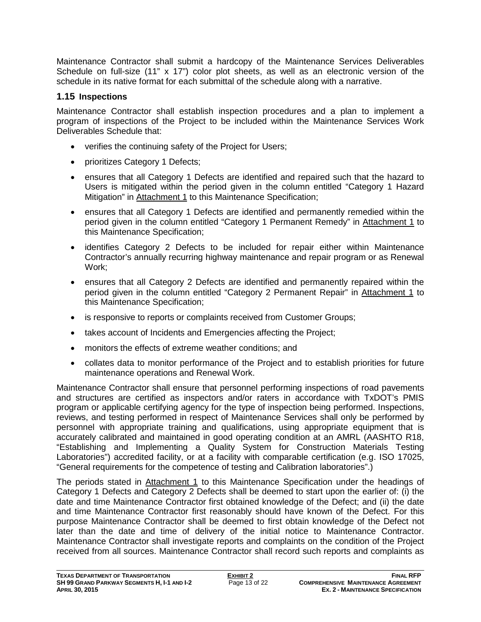Maintenance Contractor shall submit a hardcopy of the Maintenance Services Deliverables Schedule on full-size (11" x 17") color plot sheets, as well as an electronic version of the schedule in its native format for each submittal of the schedule along with a narrative.

# **1.15 Inspections**

Maintenance Contractor shall establish inspection procedures and a plan to implement a program of inspections of the Project to be included within the Maintenance Services Work Deliverables Schedule that:

- verifies the continuing safety of the Project for Users;
- prioritizes Category 1 Defects;
- ensures that all Category 1 Defects are identified and repaired such that the hazard to Users is mitigated within the period given in the column entitled "Category 1 Hazard Mitigation" in Attachment 1 to this Maintenance Specification;
- ensures that all Category 1 Defects are identified and permanently remedied within the period given in the column entitled "Category 1 Permanent Remedy" in Attachment 1 to this Maintenance Specification;
- identifies Category 2 Defects to be included for repair either within Maintenance Contractor's annually recurring highway maintenance and repair program or as Renewal Work;
- ensures that all Category 2 Defects are identified and permanently repaired within the period given in the column entitled "Category 2 Permanent Repair" in Attachment 1 to this Maintenance Specification;
- is responsive to reports or complaints received from Customer Groups;
- takes account of Incidents and Emergencies affecting the Project;
- monitors the effects of extreme weather conditions; and
- collates data to monitor performance of the Project and to establish priorities for future maintenance operations and Renewal Work.

Maintenance Contractor shall ensure that personnel performing inspections of road pavements and structures are certified as inspectors and/or raters in accordance with TxDOT's PMIS program or applicable certifying agency for the type of inspection being performed. Inspections, reviews, and testing performed in respect of Maintenance Services shall only be performed by personnel with appropriate training and qualifications, using appropriate equipment that is accurately calibrated and maintained in good operating condition at an AMRL (AASHTO R18, "Establishing and Implementing a Quality System for Construction Materials Testing Laboratories") accredited facility, or at a facility with comparable certification (e.g. ISO 17025, "General requirements for the competence of testing and Calibration laboratories".)

The periods stated in Attachment 1 to this Maintenance Specification under the headings of Category 1 Defects and Category 2 Defects shall be deemed to start upon the earlier of: (i) the date and time Maintenance Contractor first obtained knowledge of the Defect; and (ii) the date and time Maintenance Contractor first reasonably should have known of the Defect. For this purpose Maintenance Contractor shall be deemed to first obtain knowledge of the Defect not later than the date and time of delivery of the initial notice to Maintenance Contractor. Maintenance Contractor shall investigate reports and complaints on the condition of the Project received from all sources. Maintenance Contractor shall record such reports and complaints as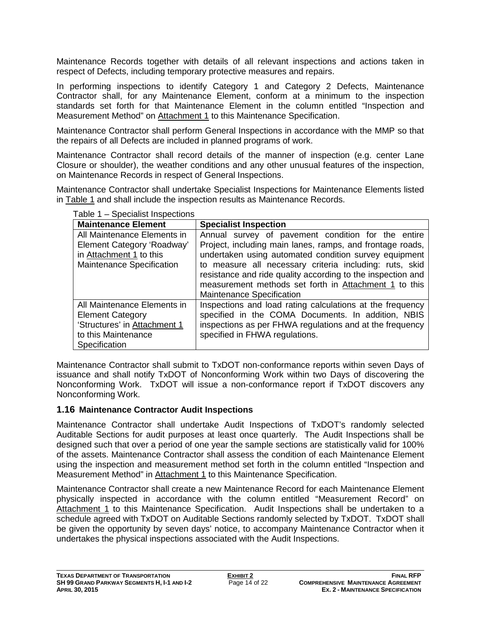Maintenance Records together with details of all relevant inspections and actions taken in respect of Defects, including temporary protective measures and repairs.

In performing inspections to identify Category 1 and Category 2 Defects, Maintenance Contractor shall, for any Maintenance Element, conform at a minimum to the inspection standards set forth for that Maintenance Element in the column entitled "Inspection and Measurement Method" on Attachment 1 to this Maintenance Specification.

Maintenance Contractor shall perform General Inspections in accordance with the MMP so that the repairs of all Defects are included in planned programs of work.

Maintenance Contractor shall record details of the manner of inspection (e.g. center Lane Closure or shoulder), the weather conditions and any other unusual features of the inspection, on Maintenance Records in respect of General Inspections.

Maintenance Contractor shall undertake Specialist Inspections for Maintenance Elements listed in Table 1 and shall include the inspection results as Maintenance Records.

| <b>Maintenance Element</b>       | <b>Specialist Inspection</b>                                                                                                                                                                                        |
|----------------------------------|---------------------------------------------------------------------------------------------------------------------------------------------------------------------------------------------------------------------|
| All Maintenance Elements in      | Annual survey of pavement condition for the entire                                                                                                                                                                  |
| Element Category 'Roadway'       | Project, including main lanes, ramps, and frontage roads,                                                                                                                                                           |
| in Attachment 1 to this          | undertaken using automated condition survey equipment                                                                                                                                                               |
| <b>Maintenance Specification</b> | to measure all necessary criteria including: ruts, skid<br>resistance and ride quality according to the inspection and<br>measurement methods set forth in Attachment 1 to this<br><b>Maintenance Specification</b> |
| All Maintenance Elements in      | Inspections and load rating calculations at the frequency                                                                                                                                                           |
| <b>Element Category</b>          | specified in the COMA Documents. In addition, NBIS                                                                                                                                                                  |
| 'Structures' in Attachment 1     | inspections as per FHWA regulations and at the frequency                                                                                                                                                            |
| to this Maintenance              | specified in FHWA regulations.                                                                                                                                                                                      |
| Specification                    |                                                                                                                                                                                                                     |

Table 1 – Specialist Inspections

Maintenance Contractor shall submit to TxDOT non-conformance reports within seven Days of issuance and shall notify TxDOT of Nonconforming Work within two Days of discovering the Nonconforming Work. TxDOT will issue a non-conformance report if TxDOT discovers any Nonconforming Work.

### **1.16 Maintenance Contractor Audit Inspections**

Maintenance Contractor shall undertake Audit Inspections of TxDOT's randomly selected Auditable Sections for audit purposes at least once quarterly. The Audit Inspections shall be designed such that over a period of one year the sample sections are statistically valid for 100% of the assets. Maintenance Contractor shall assess the condition of each Maintenance Element using the inspection and measurement method set forth in the column entitled "Inspection and Measurement Method" in Attachment 1 to this Maintenance Specification.

Maintenance Contractor shall create a new Maintenance Record for each Maintenance Element physically inspected in accordance with the column entitled "Measurement Record" on Attachment 1 to this Maintenance Specification. Audit Inspections shall be undertaken to a schedule agreed with TxDOT on Auditable Sections randomly selected by TxDOT. TxDOT shall be given the opportunity by seven days' notice, to accompany Maintenance Contractor when it undertakes the physical inspections associated with the Audit Inspections.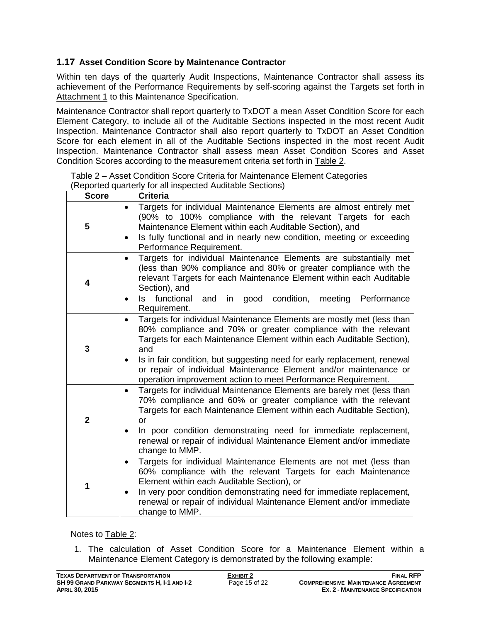## **1.17 Asset Condition Score by Maintenance Contractor**

Within ten days of the quarterly Audit Inspections, Maintenance Contractor shall assess its achievement of the Performance Requirements by self-scoring against the Targets set forth in Attachment 1 to this Maintenance Specification.

Maintenance Contractor shall report quarterly to TxDOT a mean Asset Condition Score for each Element Category, to include all of the Auditable Sections inspected in the most recent Audit Inspection. Maintenance Contractor shall also report quarterly to TxDOT an Asset Condition Score for each element in all of the Auditable Sections inspected in the most recent Audit Inspection. Maintenance Contractor shall assess mean Asset Condition Scores and Asset Condition Scores according to the measurement criteria set forth in Table 2.

| <b>Score</b>   | <b>Criteria</b>                                                                                                                                                                                                                                                                                                                                                                                                                          |
|----------------|------------------------------------------------------------------------------------------------------------------------------------------------------------------------------------------------------------------------------------------------------------------------------------------------------------------------------------------------------------------------------------------------------------------------------------------|
| 5              | Targets for individual Maintenance Elements are almost entirely met<br>(90% to 100% compliance with the relevant Targets for each<br>Maintenance Element within each Auditable Section), and<br>Is fully functional and in nearly new condition, meeting or exceeding<br>Performance Requirement.                                                                                                                                        |
| 4              | Targets for individual Maintenance Elements are substantially met<br>(less than 90% compliance and 80% or greater compliance with the<br>relevant Targets for each Maintenance Element within each Auditable<br>Section), and<br>functional<br>in good condition,<br>Performance<br>ls.<br>and<br>meeting<br>Requirement.                                                                                                                |
| 3              | Targets for individual Maintenance Elements are mostly met (less than<br>80% compliance and 70% or greater compliance with the relevant<br>Targets for each Maintenance Element within each Auditable Section),<br>and<br>Is in fair condition, but suggesting need for early replacement, renewal<br>or repair of individual Maintenance Element and/or maintenance or<br>operation improvement action to meet Performance Requirement. |
| $\overline{2}$ | Targets for individual Maintenance Elements are barely met (less than<br>70% compliance and 60% or greater compliance with the relevant<br>Targets for each Maintenance Element within each Auditable Section),<br>or<br>In poor condition demonstrating need for immediate replacement,<br>renewal or repair of individual Maintenance Element and/or immediate<br>change to MMP.                                                       |
| 1              | Targets for individual Maintenance Elements are not met (less than<br>$\bullet$<br>60% compliance with the relevant Targets for each Maintenance<br>Element within each Auditable Section), or<br>In very poor condition demonstrating need for immediate replacement,<br>$\bullet$<br>renewal or repair of individual Maintenance Element and/or immediate<br>change to MMP.                                                            |

Table 2 – Asset Condition Score Criteria for Maintenance Element Categories (Reported quarterly for all inspected Auditable Sections)

Notes to Table 2:

1. The calculation of Asset Condition Score for a Maintenance Element within a Maintenance Element Category is demonstrated by the following example: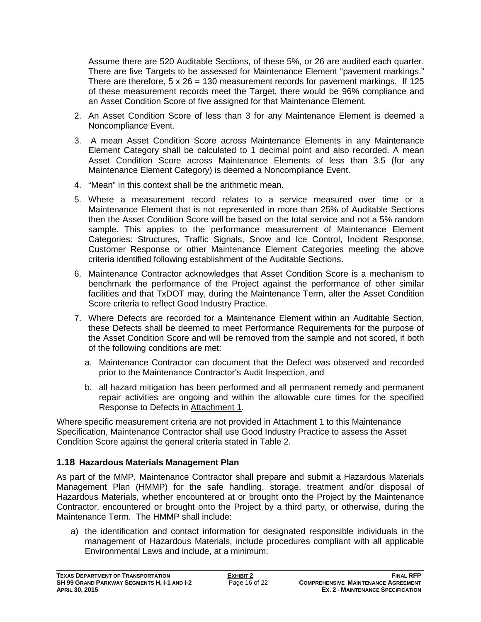Assume there are 520 Auditable Sections, of these 5%, or 26 are audited each quarter. There are five Targets to be assessed for Maintenance Element "pavement markings." There are therefore,  $5 \times 26 = 130$  measurement records for pavement markings. If 125 of these measurement records meet the Target, there would be 96% compliance and an Asset Condition Score of five assigned for that Maintenance Element.

- 2. An Asset Condition Score of less than 3 for any Maintenance Element is deemed a Noncompliance Event.
- 3. A mean Asset Condition Score across Maintenance Elements in any Maintenance Element Category shall be calculated to 1 decimal point and also recorded. A mean Asset Condition Score across Maintenance Elements of less than 3.5 (for any Maintenance Element Category) is deemed a Noncompliance Event.
- 4. "Mean" in this context shall be the arithmetic mean.
- 5. Where a measurement record relates to a service measured over time or a Maintenance Element that is not represented in more than 25% of Auditable Sections then the Asset Condition Score will be based on the total service and not a 5% random sample. This applies to the performance measurement of Maintenance Element Categories: Structures, Traffic Signals, Snow and Ice Control, Incident Response, Customer Response or other Maintenance Element Categories meeting the above criteria identified following establishment of the Auditable Sections.
- 6. Maintenance Contractor acknowledges that Asset Condition Score is a mechanism to benchmark the performance of the Project against the performance of other similar facilities and that TxDOT may, during the Maintenance Term, alter the Asset Condition Score criteria to reflect Good Industry Practice.
- 7. Where Defects are recorded for a Maintenance Element within an Auditable Section, these Defects shall be deemed to meet Performance Requirements for the purpose of the Asset Condition Score and will be removed from the sample and not scored, if both of the following conditions are met:
	- a. Maintenance Contractor can document that the Defect was observed and recorded prior to the Maintenance Contractor's Audit Inspection, and
	- b. all hazard mitigation has been performed and all permanent remedy and permanent repair activities are ongoing and within the allowable cure times for the specified Response to Defects in Attachment 1.

Where specific measurement criteria are not provided in Attachment 1 to this Maintenance Specification, Maintenance Contractor shall use Good Industry Practice to assess the Asset Condition Score against the general criteria stated in Table 2.

# **1.18 Hazardous Materials Management Plan**

As part of the MMP, Maintenance Contractor shall prepare and submit a Hazardous Materials Management Plan (HMMP) for the safe handling, storage, treatment and/or disposal of Hazardous Materials, whether encountered at or brought onto the Project by the Maintenance Contractor, encountered or brought onto the Project by a third party, or otherwise, during the Maintenance Term. The HMMP shall include:

a) the identification and contact information for designated responsible individuals in the management of Hazardous Materials, include procedures compliant with all applicable Environmental Laws and include, at a minimum: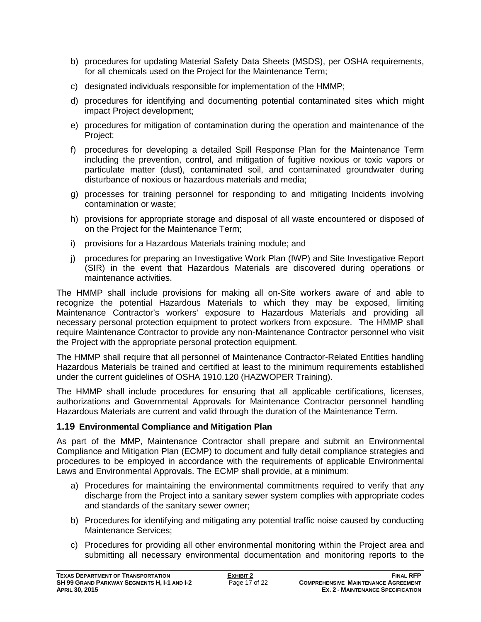- b) procedures for updating Material Safety Data Sheets (MSDS), per OSHA requirements, for all chemicals used on the Project for the Maintenance Term;
- c) designated individuals responsible for implementation of the HMMP;
- d) procedures for identifying and documenting potential contaminated sites which might impact Project development;
- e) procedures for mitigation of contamination during the operation and maintenance of the Project;
- f) procedures for developing a detailed Spill Response Plan for the Maintenance Term including the prevention, control, and mitigation of fugitive noxious or toxic vapors or particulate matter (dust), contaminated soil, and contaminated groundwater during disturbance of noxious or hazardous materials and media;
- g) processes for training personnel for responding to and mitigating Incidents involving contamination or waste;
- h) provisions for appropriate storage and disposal of all waste encountered or disposed of on the Project for the Maintenance Term;
- i) provisions for a Hazardous Materials training module; and
- j) procedures for preparing an Investigative Work Plan (IWP) and Site Investigative Report (SIR) in the event that Hazardous Materials are discovered during operations or maintenance activities.

The HMMP shall include provisions for making all on-Site workers aware of and able to recognize the potential Hazardous Materials to which they may be exposed, limiting Maintenance Contractor's workers' exposure to Hazardous Materials and providing all necessary personal protection equipment to protect workers from exposure. The HMMP shall require Maintenance Contractor to provide any non-Maintenance Contractor personnel who visit the Project with the appropriate personal protection equipment.

The HMMP shall require that all personnel of Maintenance Contractor-Related Entities handling Hazardous Materials be trained and certified at least to the minimum requirements established under the current guidelines of OSHA 1910.120 (HAZWOPER Training).

The HMMP shall include procedures for ensuring that all applicable certifications, licenses, authorizations and Governmental Approvals for Maintenance Contractor personnel handling Hazardous Materials are current and valid through the duration of the Maintenance Term.

# **1.19 Environmental Compliance and Mitigation Plan**

As part of the MMP, Maintenance Contractor shall prepare and submit an Environmental Compliance and Mitigation Plan (ECMP) to document and fully detail compliance strategies and procedures to be employed in accordance with the requirements of applicable Environmental Laws and Environmental Approvals. The ECMP shall provide, at a minimum:

- a) Procedures for maintaining the environmental commitments required to verify that any discharge from the Project into a sanitary sewer system complies with appropriate codes and standards of the sanitary sewer owner;
- b) Procedures for identifying and mitigating any potential traffic noise caused by conducting Maintenance Services;
- c) Procedures for providing all other environmental monitoring within the Project area and submitting all necessary environmental documentation and monitoring reports to the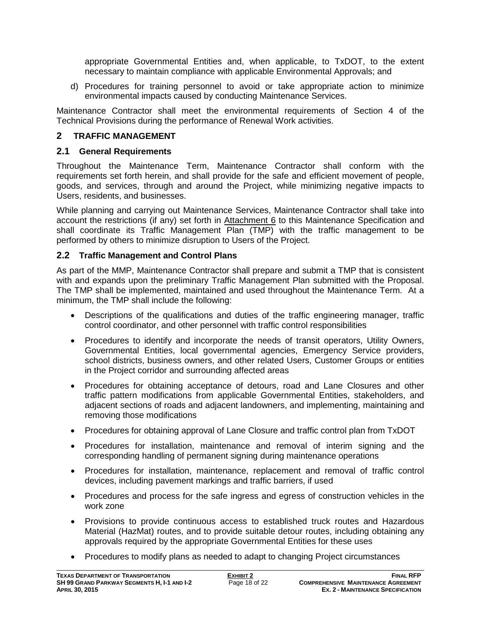appropriate Governmental Entities and, when applicable, to TxDOT, to the extent necessary to maintain compliance with applicable Environmental Approvals; and

d) Procedures for training personnel to avoid or take appropriate action to minimize environmental impacts caused by conducting Maintenance Services.

Maintenance Contractor shall meet the environmental requirements of Section 4 of the Technical Provisions during the performance of Renewal Work activities.

# **2 TRAFFIC MANAGEMENT**

## **2.1 General Requirements**

Throughout the Maintenance Term, Maintenance Contractor shall conform with the requirements set forth herein, and shall provide for the safe and efficient movement of people, goods, and services, through and around the Project, while minimizing negative impacts to Users, residents, and businesses.

While planning and carrying out Maintenance Services, Maintenance Contractor shall take into account the restrictions (if any) set forth in Attachment 6 to this Maintenance Specification and shall coordinate its Traffic Management Plan (TMP) with the traffic management to be performed by others to minimize disruption to Users of the Project.

## **2.2 Traffic Management and Control Plans**

As part of the MMP, Maintenance Contractor shall prepare and submit a TMP that is consistent with and expands upon the preliminary Traffic Management Plan submitted with the Proposal. The TMP shall be implemented, maintained and used throughout the Maintenance Term. At a minimum, the TMP shall include the following:

- Descriptions of the qualifications and duties of the traffic engineering manager, traffic control coordinator, and other personnel with traffic control responsibilities
- Procedures to identify and incorporate the needs of transit operators, Utility Owners, Governmental Entities, local governmental agencies, Emergency Service providers, school districts, business owners, and other related Users, Customer Groups or entities in the Project corridor and surrounding affected areas
- Procedures for obtaining acceptance of detours, road and Lane Closures and other traffic pattern modifications from applicable Governmental Entities, stakeholders, and adjacent sections of roads and adjacent landowners, and implementing, maintaining and removing those modifications
- Procedures for obtaining approval of Lane Closure and traffic control plan from TxDOT
- Procedures for installation, maintenance and removal of interim signing and the corresponding handling of permanent signing during maintenance operations
- Procedures for installation, maintenance, replacement and removal of traffic control devices, including pavement markings and traffic barriers, if used
- Procedures and process for the safe ingress and egress of construction vehicles in the work zone
- Provisions to provide continuous access to established truck routes and Hazardous Material (HazMat) routes, and to provide suitable detour routes, including obtaining any approvals required by the appropriate Governmental Entities for these uses
- Procedures to modify plans as needed to adapt to changing Project circumstances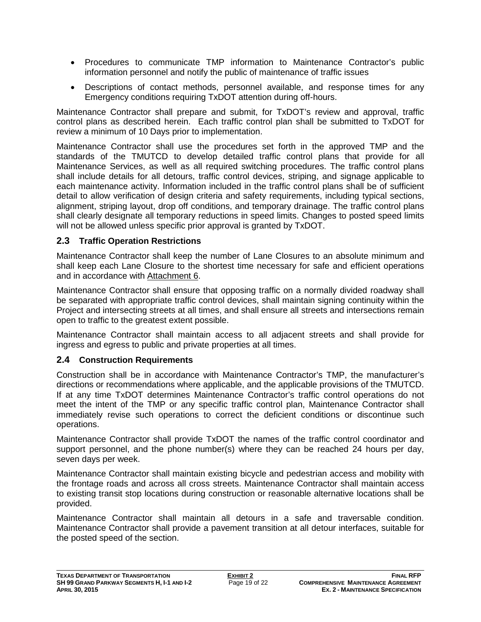- Procedures to communicate TMP information to Maintenance Contractor's public information personnel and notify the public of maintenance of traffic issues
- Descriptions of contact methods, personnel available, and response times for any Emergency conditions requiring TxDOT attention during off-hours.

Maintenance Contractor shall prepare and submit, for TxDOT's review and approval, traffic control plans as described herein. Each traffic control plan shall be submitted to TxDOT for review a minimum of 10 Days prior to implementation.

Maintenance Contractor shall use the procedures set forth in the approved TMP and the standards of the TMUTCD to develop detailed traffic control plans that provide for all Maintenance Services, as well as all required switching procedures. The traffic control plans shall include details for all detours, traffic control devices, striping, and signage applicable to each maintenance activity. Information included in the traffic control plans shall be of sufficient detail to allow verification of design criteria and safety requirements, including typical sections, alignment, striping layout, drop off conditions, and temporary drainage. The traffic control plans shall clearly designate all temporary reductions in speed limits. Changes to posted speed limits will not be allowed unless specific prior approval is granted by TxDOT.

## **2.3 Traffic Operation Restrictions**

Maintenance Contractor shall keep the number of Lane Closures to an absolute minimum and shall keep each Lane Closure to the shortest time necessary for safe and efficient operations and in accordance with Attachment 6.

Maintenance Contractor shall ensure that opposing traffic on a normally divided roadway shall be separated with appropriate traffic control devices, shall maintain signing continuity within the Project and intersecting streets at all times, and shall ensure all streets and intersections remain open to traffic to the greatest extent possible.

Maintenance Contractor shall maintain access to all adjacent streets and shall provide for ingress and egress to public and private properties at all times.

### **2.4 Construction Requirements**

Construction shall be in accordance with Maintenance Contractor's TMP, the manufacturer's directions or recommendations where applicable, and the applicable provisions of the TMUTCD. If at any time TxDOT determines Maintenance Contractor's traffic control operations do not meet the intent of the TMP or any specific traffic control plan, Maintenance Contractor shall immediately revise such operations to correct the deficient conditions or discontinue such operations.

Maintenance Contractor shall provide TxDOT the names of the traffic control coordinator and support personnel, and the phone number(s) where they can be reached 24 hours per day, seven days per week.

Maintenance Contractor shall maintain existing bicycle and pedestrian access and mobility with the frontage roads and across all cross streets. Maintenance Contractor shall maintain access to existing transit stop locations during construction or reasonable alternative locations shall be provided.

Maintenance Contractor shall maintain all detours in a safe and traversable condition. Maintenance Contractor shall provide a pavement transition at all detour interfaces, suitable for the posted speed of the section.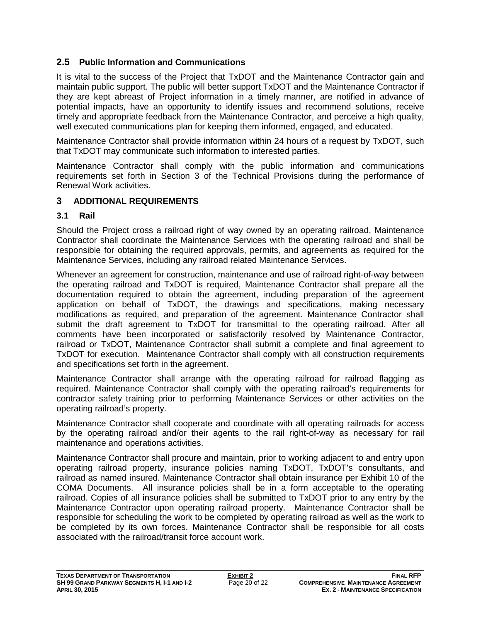## **2.5 Public Information and Communications**

It is vital to the success of the Project that TxDOT and the Maintenance Contractor gain and maintain public support. The public will better support TxDOT and the Maintenance Contractor if they are kept abreast of Project information in a timely manner, are notified in advance of potential impacts, have an opportunity to identify issues and recommend solutions, receive timely and appropriate feedback from the Maintenance Contractor, and perceive a high quality, well executed communications plan for keeping them informed, engaged, and educated.

Maintenance Contractor shall provide information within 24 hours of a request by TxDOT, such that TxDOT may communicate such information to interested parties.

Maintenance Contractor shall comply with the public information and communications requirements set forth in Section 3 of the Technical Provisions during the performance of Renewal Work activities.

# **3 ADDITIONAL REQUIREMENTS**

### **3.1 Rail**

Should the Project cross a railroad right of way owned by an operating railroad, Maintenance Contractor shall coordinate the Maintenance Services with the operating railroad and shall be responsible for obtaining the required approvals, permits, and agreements as required for the Maintenance Services, including any railroad related Maintenance Services.

Whenever an agreement for construction, maintenance and use of railroad right-of-way between the operating railroad and TxDOT is required, Maintenance Contractor shall prepare all the documentation required to obtain the agreement, including preparation of the agreement application on behalf of TxDOT, the drawings and specifications, making necessary modifications as required, and preparation of the agreement. Maintenance Contractor shall submit the draft agreement to TxDOT for transmittal to the operating railroad. After all comments have been incorporated or satisfactorily resolved by Maintenance Contractor, railroad or TxDOT, Maintenance Contractor shall submit a complete and final agreement to TxDOT for execution. Maintenance Contractor shall comply with all construction requirements and specifications set forth in the agreement.

Maintenance Contractor shall arrange with the operating railroad for railroad flagging as required. Maintenance Contractor shall comply with the operating railroad's requirements for contractor safety training prior to performing Maintenance Services or other activities on the operating railroad's property.

Maintenance Contractor shall cooperate and coordinate with all operating railroads for access by the operating railroad and/or their agents to the rail right-of-way as necessary for rail maintenance and operations activities.

Maintenance Contractor shall procure and maintain, prior to working adjacent to and entry upon operating railroad property, insurance policies naming TxDOT, TxDOT's consultants, and railroad as named insured. Maintenance Contractor shall obtain insurance per Exhibit 10 of the COMA Documents. All insurance policies shall be in a form acceptable to the operating railroad. Copies of all insurance policies shall be submitted to TxDOT prior to any entry by the Maintenance Contractor upon operating railroad property. Maintenance Contractor shall be responsible for scheduling the work to be completed by operating railroad as well as the work to be completed by its own forces. Maintenance Contractor shall be responsible for all costs associated with the railroad/transit force account work.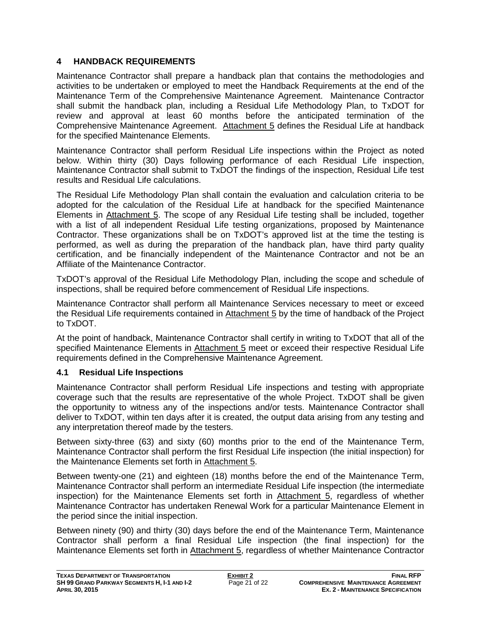# **4 HANDBACK REQUIREMENTS**

Maintenance Contractor shall prepare a handback plan that contains the methodologies and activities to be undertaken or employed to meet the Handback Requirements at the end of the Maintenance Term of the Comprehensive Maintenance Agreement. Maintenance Contractor shall submit the handback plan, including a Residual Life Methodology Plan, to TxDOT for review and approval at least 60 months before the anticipated termination of the Comprehensive Maintenance Agreement. Attachment 5 defines the Residual Life at handback for the specified Maintenance Elements.

Maintenance Contractor shall perform Residual Life inspections within the Project as noted below. Within thirty (30) Days following performance of each Residual Life inspection, Maintenance Contractor shall submit to TxDOT the findings of the inspection, Residual Life test results and Residual Life calculations.

The Residual Life Methodology Plan shall contain the evaluation and calculation criteria to be adopted for the calculation of the Residual Life at handback for the specified Maintenance Elements in Attachment 5. The scope of any Residual Life testing shall be included, together with a list of all independent Residual Life testing organizations, proposed by Maintenance Contractor. These organizations shall be on TxDOT's approved list at the time the testing is performed, as well as during the preparation of the handback plan, have third party quality certification, and be financially independent of the Maintenance Contractor and not be an Affiliate of the Maintenance Contractor.

TxDOT's approval of the Residual Life Methodology Plan, including the scope and schedule of inspections, shall be required before commencement of Residual Life inspections.

Maintenance Contractor shall perform all Maintenance Services necessary to meet or exceed the Residual Life requirements contained in Attachment 5 by the time of handback of the Project to TxDOT.

At the point of handback, Maintenance Contractor shall certify in writing to TxDOT that all of the specified Maintenance Elements in Attachment 5 meet or exceed their respective Residual Life requirements defined in the Comprehensive Maintenance Agreement.

### **4.1 Residual Life Inspections**

Maintenance Contractor shall perform Residual Life inspections and testing with appropriate coverage such that the results are representative of the whole Project. TxDOT shall be given the opportunity to witness any of the inspections and/or tests. Maintenance Contractor shall deliver to TxDOT, within ten days after it is created, the output data arising from any testing and any interpretation thereof made by the testers.

Between sixty-three (63) and sixty (60) months prior to the end of the Maintenance Term, Maintenance Contractor shall perform the first Residual Life inspection (the initial inspection) for the Maintenance Elements set forth in Attachment 5.

Between twenty-one (21) and eighteen (18) months before the end of the Maintenance Term, Maintenance Contractor shall perform an intermediate Residual Life inspection (the intermediate inspection) for the Maintenance Elements set forth in Attachment 5, regardless of whether Maintenance Contractor has undertaken Renewal Work for a particular Maintenance Element in the period since the initial inspection.

Between ninety (90) and thirty (30) days before the end of the Maintenance Term, Maintenance Contractor shall perform a final Residual Life inspection (the final inspection) for the Maintenance Elements set forth in Attachment 5, regardless of whether Maintenance Contractor